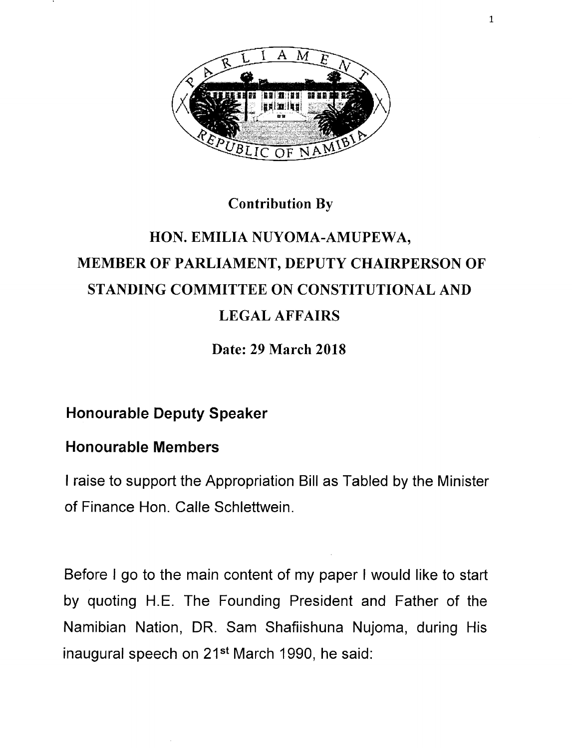

#### Contribution By

# HON. EMILIA NUYOMA-AMUPEWA, MEMBER OF PARLIAMENT, DEPUTY CHAIRPERSON OF STANDING COMMITTEE ON CONSTITUTIONAL AND LEGAL AFFAIRS

Date: 29 March 2018

#### **Honourable Deputy Speaker**

#### **Honourable Members**

I raise to support the Appropriation Bill as Tabled by the Minister of Finance Hon. Calle Schlettwein.

Before I go to the main content of my paper I would like to start by quoting H.E. The Founding President and Father of the Namibian Nation, DR. Sam Shafiishuna Nujoma, during His inaugural speech on 21<sup>st</sup> March 1990, he said: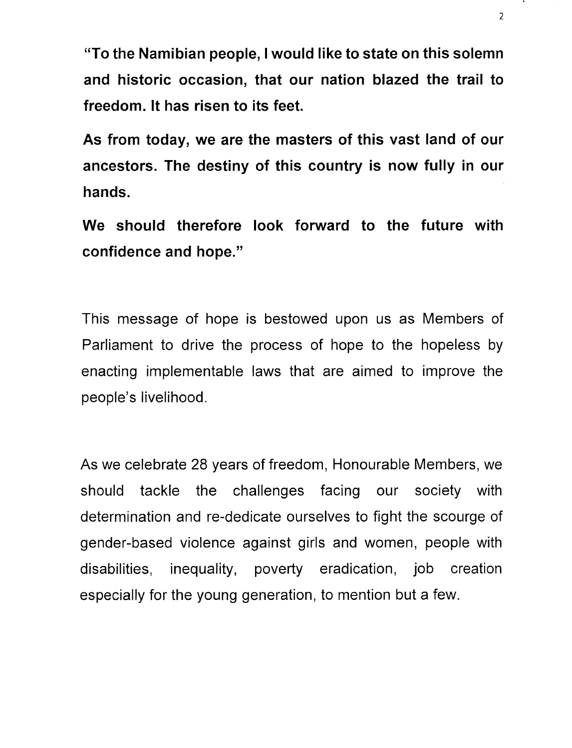**"To the Namibian people, I would like to state on this solemn and historic occasion, that our nation blazed the trail to freedom. It has risen to its feet.**

**As from today, we are the masters of this vast land of our ancestors. The destiny of this country is now fully in our hands.**

**We should therefore look forward to the future with confidence and hope."**

This message of hope is bestowed upon us as Members of Parliament to drive the process of hope to the hopeless by enacting implementable laws that are aimed to improve the people's livelihood.

As we celebrate 28 years of freedom, Honourable Members, we should tackle the challenges facing our society with determination and re-dedicate ourselves to fight the scourge of gender-based violence against girls and women, people with disabilities, inequality, poverty eradication, job creation especially for the young generation, to mention but a few.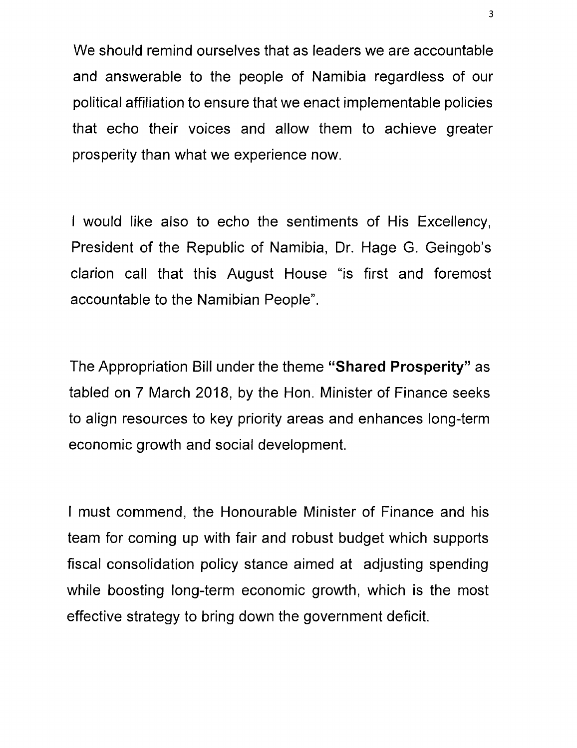We should remind ourselves that as leaders we are accountable and answerable to the people of Namibia regardless of our political affiliation to ensure that we enact implementable policies that echo their voices and allow them to achieve greater prosperity than what we experience now.

I would like also to echo the sentiments of His Excellency, President of the Republic of Namibia, Or. Hage G. Geingob's clarion call that this August House "is first and foremost accountable to the Namibian People".

The Appropriation Bill under the theme **"Shared Prosperity"** as tabled on 7 March 2018, by the Hon. Minister of Finance seeks to align resources to key priority areas and enhances long-term economic growth and social development.

I must commend, the Honourable Minister of Finance and his team for coming up with fair and robust budget which supports fiscal consolidation policy stance aimed at adjusting spending while boosting long-term economic growth, which is the most effective strategy to bring down the government deficit.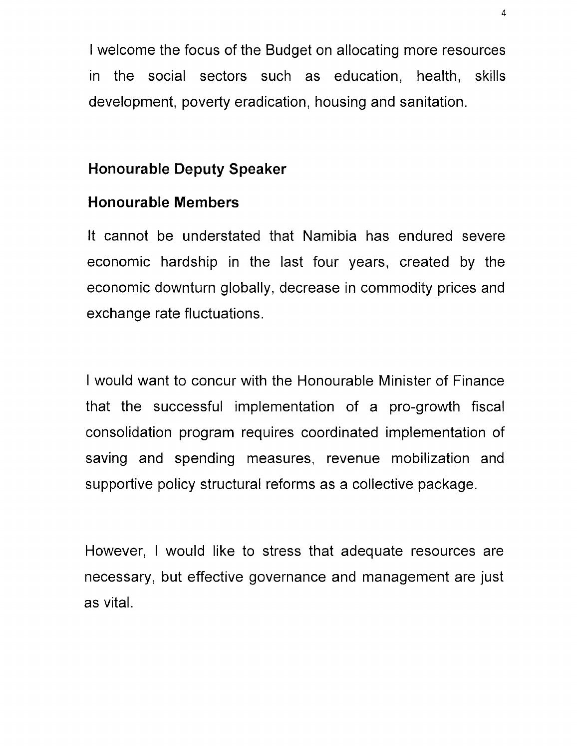I welcome the focus of the Budget on allocating more resources in the social sectors such as education, health, skills development, poverty eradication, housing and sanitation.

#### **Honourable Deputy Speaker**

#### **Honourable Members**

It cannot be understated that Namibia has endured severe economic hardship in the last four years, created by the economic downturn globally, decrease in commodity prices and exchange rate fluctuations.

I would want to concur with the Honourable Minister of Finance that the successful implementation of a pro-growth fiscal consolidation program requires coordinated implementation of saving and spending measures, revenue mobilization and supportive policy structural reforms as a collective package.

However, I would like to stress that adequate resources are necessary, but effective governance and management are just as vital.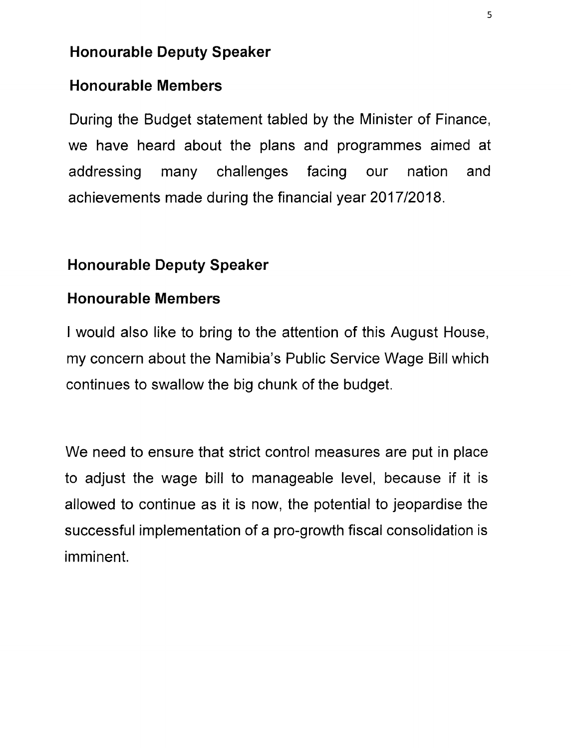### **Honourable Deputy Speaker**

## **Honourable Members**

During the Budget statement tabled by the Minister of Finance, we have heard about the plans and programmes aimed at addressing many challenges facing our nation and achievements made during the financial year *2017/2018.*

# **Honourable Deputy Speaker**

## **Honourable Members**

I would also like to bring to the attention of this August House, my concern about the Namibia's Public Service Wage Bill which continues to swallow the big chunk of the budget.

We need to ensure that strict control measures are put in place to adjust the wage bill to manageable level, because if it is allowed to continue as it is now, the potential to jeopardise the successful implementation of a pro-growth fiscal consolidation is imminent.